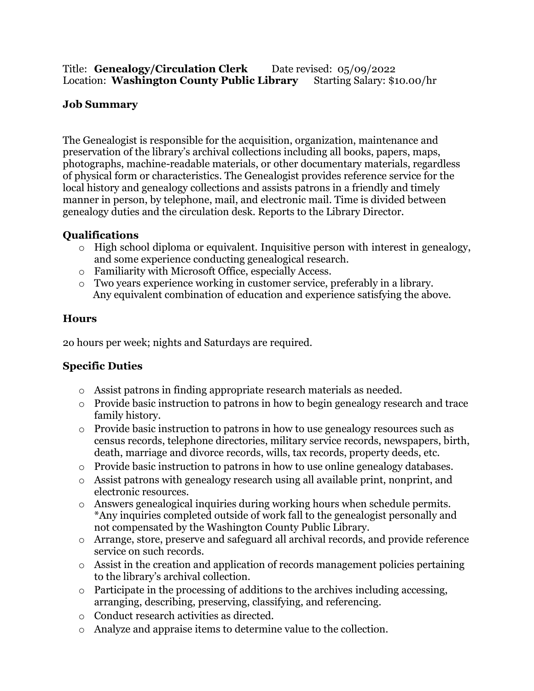### Title: **Genealogy/Circulation Clerk** Date revised: 05/09/2022 Location: Washington County Public Library Starting Salary: \$10.00/hr

## **Job Summary**

The Genealogist is responsible for the acquisition, organization, maintenance and preservation of the library's archival collections including all books, papers, maps, photographs, machine-readable materials, or other documentary materials, regardless of physical form or characteristics. The Genealogist provides reference service for the local history and genealogy collections and assists patrons in a friendly and timely manner in person, by telephone, mail, and electronic mail. Time is divided between genealogy duties and the circulation desk. Reports to the Library Director.

## **Qualifications**

- $\circ$  High school diploma or equivalent. Inquisitive person with interest in genealogy, and some experience conducting genealogical research.
- o Familiarity with Microsoft Office, especially Access.
- o Two years experience working in customer service, preferably in a library. Any equivalent combination of education and experience satisfying the above.

## **Hours**

2o hours per week; nights and Saturdays are required.

## **Specific Duties**

- o Assist patrons in finding appropriate research materials as needed.
- o Provide basic instruction to patrons in how to begin genealogy research and trace family history.
- o Provide basic instruction to patrons in how to use genealogy resources such as census records, telephone directories, military service records, newspapers, birth, death, marriage and divorce records, wills, tax records, property deeds, etc.
- o Provide basic instruction to patrons in how to use online genealogy databases.
- o Assist patrons with genealogy research using all available print, nonprint, and electronic resources.
- o Answers genealogical inquiries during working hours when schedule permits. \*Any inquiries completed outside of work fall to the genealogist personally and not compensated by the Washington County Public Library.
- o Arrange, store, preserve and safeguard all archival records, and provide reference service on such records.
- o Assist in the creation and application of records management policies pertaining to the library's archival collection.
- o Participate in the processing of additions to the archives including accessing, arranging, describing, preserving, classifying, and referencing.
- o Conduct research activities as directed.
- o Analyze and appraise items to determine value to the collection.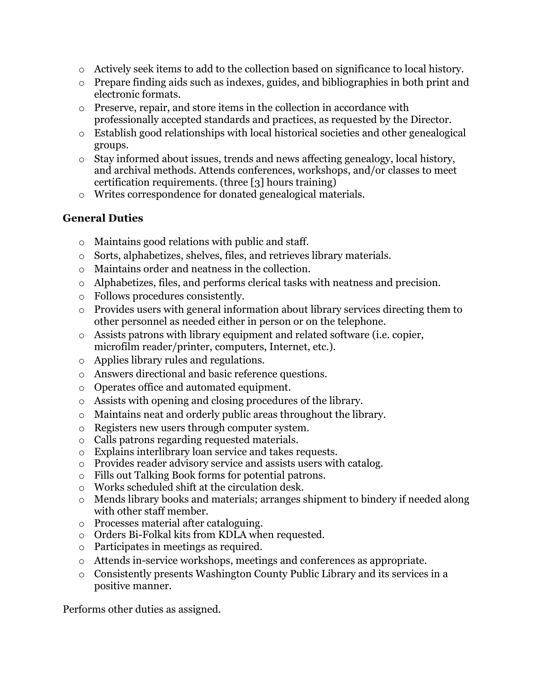- o Actively seek items to add to the collection based on significance to local history.
- o Prepare finding aids such as indexes, guides, and bibliographies in both print and electronic formats.
- o Preserve, repair, and store items in the collection in accordance with professionally accepted standards and practices, as requested by the Director.
- o Establish good relationships with local historical societies and other genealogical groups.
- o Stay informed about issues, trends and news affecting genealogy, local history, and archival methods. Attends conferences, workshops, and/or classes to meet certification requirements. (three [3] hours training)
- o Writes correspondence for donated genealogical materials.

## **General Duties**

- o Maintains good relations with public and staff.
- o Sorts, alphabetizes, shelves, files, and retrieves library materials.
- o Maintains order and neatness in the collection.
- o Alphabetizes, files, and performs clerical tasks with neatness and precision.
- o Follows procedures consistently.
- o Provides users with general information about library services directing them to other personnel as needed either in person or on the telephone.
- o Assists patrons with library equipment and related software (i.e. copier, microfilm reader/printer, computers, Internet, etc.).
- o Applies library rules and regulations.
- o Answers directional and basic reference questions.
- o Operates office and automated equipment.
- o Assists with opening and closing procedures of the library.
- o Maintains neat and orderly public areas throughout the library.
- o Registers new users through computer system.
- o Calls patrons regarding requested materials.
- o Explains interlibrary loan service and takes requests.
- o Provides reader advisory service and assists users with catalog.
- o Fills out Talking Book forms for potential patrons.
- o Works scheduled shift at the circulation desk.
- o Mends library books and materials; arranges shipment to bindery if needed along with other staff member.
- o Processes material after cataloguing.
- o Orders Bi-Folkal kits from KDLA when requested.
- o Participates in meetings as required.
- o Attends in-service workshops, meetings and conferences as appropriate.
- o Consistently presents Washington County Public Library and its services in a positive manner.

Performs other duties as assigned.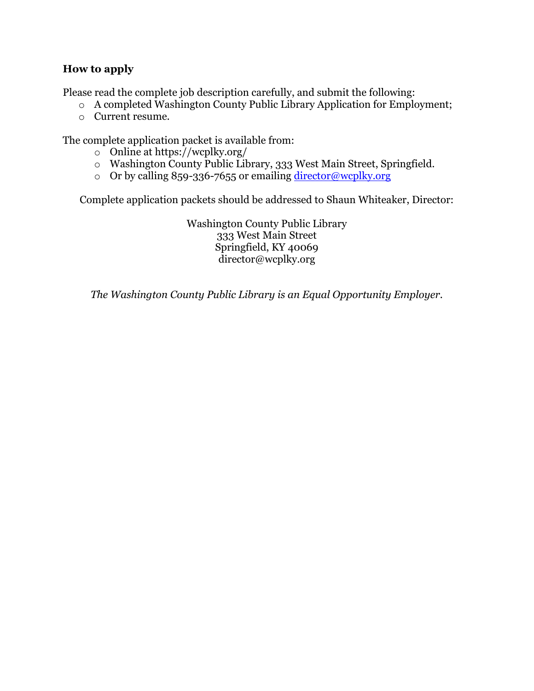### **How to apply**

Please read the complete job description carefully, and submit the following:

- o A completed Washington County Public Library Application for Employment;
- o Current resume.

The complete application packet is available from:

- o Online at https://wcplky.org/
- o Washington County Public Library, 333 West Main Street, Springfield.
- o Or by calling 859-336-7655 or emailing [director@wcplky.org](mailto:director@wcplky.org)

Complete application packets should be addressed to Shaun Whiteaker, Director:

Washington County Public Library 333 West Main Street Springfield, KY 40069 director@wcplky.org

*The Washington County Public Library is an Equal Opportunity Employer.*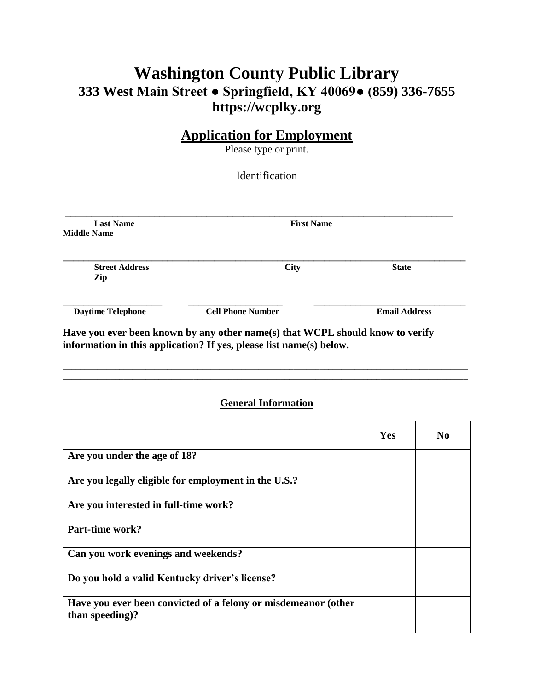# **Washington County Public Library 333 West Main Street ● Springfield, KY 40069● (859) 336-7655 https://wcplky.org**

## **Application for Employment**

Please type or print.

Identification

| <b>Last Name</b><br><b>Middle Name</b> | <b>First Name</b>        |                      |  |
|----------------------------------------|--------------------------|----------------------|--|
| <b>Street Address</b><br>Zip           | <b>City</b>              | <b>State</b>         |  |
| <b>Daytime Telephone</b>               | <b>Cell Phone Number</b> | <b>Email Address</b> |  |

**information in this application? If yes, please list name(s) below.**

### **General Information**

**\_\_\_\_\_\_\_\_\_\_\_\_\_\_\_\_\_\_\_\_\_\_\_\_\_\_\_\_\_\_\_\_\_\_\_\_\_\_\_\_\_\_\_\_\_\_\_\_\_\_\_\_\_\_\_\_\_\_\_\_\_\_\_\_\_\_\_\_\_\_\_\_\_\_\_\_\_\_\_\_\_\_\_\_\_\_\_\_\_\_\_\_\_ \_\_\_\_\_\_\_\_\_\_\_\_\_\_\_\_\_\_\_\_\_\_\_\_\_\_\_\_\_\_\_\_\_\_\_\_\_\_\_\_\_\_\_\_\_\_\_\_\_\_\_\_\_\_\_\_\_\_\_\_\_\_\_\_\_\_\_\_\_\_\_\_\_\_\_\_\_\_\_\_\_\_\_\_\_\_\_\_\_\_\_\_\_**

|                                                                                   | <b>Yes</b> | No |
|-----------------------------------------------------------------------------------|------------|----|
| Are you under the age of 18?                                                      |            |    |
| Are you legally eligible for employment in the U.S.?                              |            |    |
| Are you interested in full-time work?                                             |            |    |
| Part-time work?                                                                   |            |    |
| Can you work evenings and weekends?                                               |            |    |
| Do you hold a valid Kentucky driver's license?                                    |            |    |
| Have you ever been convicted of a felony or misdemeanor (other<br>than speeding)? |            |    |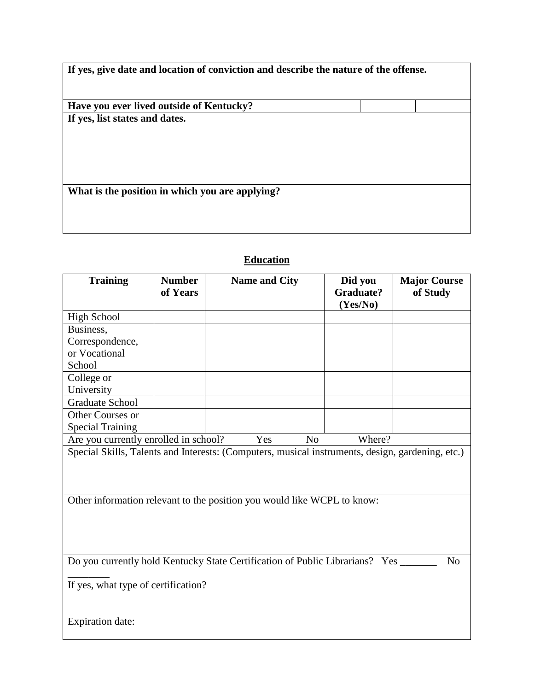**Have you ever lived outside of Kentucky? If yes, list states and dates.**

**What is the position in which you are applying?**

| <b>Training</b>                                                                                                                       | <b>Number</b><br>of Years | <b>Name and City</b>                                                                             | Did you<br><b>Graduate?</b><br>(Yes/No) | <b>Major Course</b><br>of Study |
|---------------------------------------------------------------------------------------------------------------------------------------|---------------------------|--------------------------------------------------------------------------------------------------|-----------------------------------------|---------------------------------|
| <b>High School</b>                                                                                                                    |                           |                                                                                                  |                                         |                                 |
| Business,                                                                                                                             |                           |                                                                                                  |                                         |                                 |
| Correspondence,                                                                                                                       |                           |                                                                                                  |                                         |                                 |
| or Vocational                                                                                                                         |                           |                                                                                                  |                                         |                                 |
| School                                                                                                                                |                           |                                                                                                  |                                         |                                 |
| College or                                                                                                                            |                           |                                                                                                  |                                         |                                 |
| University                                                                                                                            |                           |                                                                                                  |                                         |                                 |
| <b>Graduate School</b>                                                                                                                |                           |                                                                                                  |                                         |                                 |
| Other Courses or                                                                                                                      |                           |                                                                                                  |                                         |                                 |
| <b>Special Training</b>                                                                                                               |                           |                                                                                                  |                                         |                                 |
| Are you currently enrolled in school?                                                                                                 |                           | Yes<br>N <sub>0</sub>                                                                            | Where?                                  |                                 |
|                                                                                                                                       |                           | Special Skills, Talents and Interests: (Computers, musical instruments, design, gardening, etc.) |                                         |                                 |
|                                                                                                                                       |                           | Other information relevant to the position you would like WCPL to know:                          |                                         |                                 |
| Do you currently hold Kentucky State Certification of Public Librarians? Yes<br>N <sub>o</sub><br>If yes, what type of certification? |                           |                                                                                                  |                                         |                                 |
| <b>Expiration date:</b>                                                                                                               |                           |                                                                                                  |                                         |                                 |

## **Education**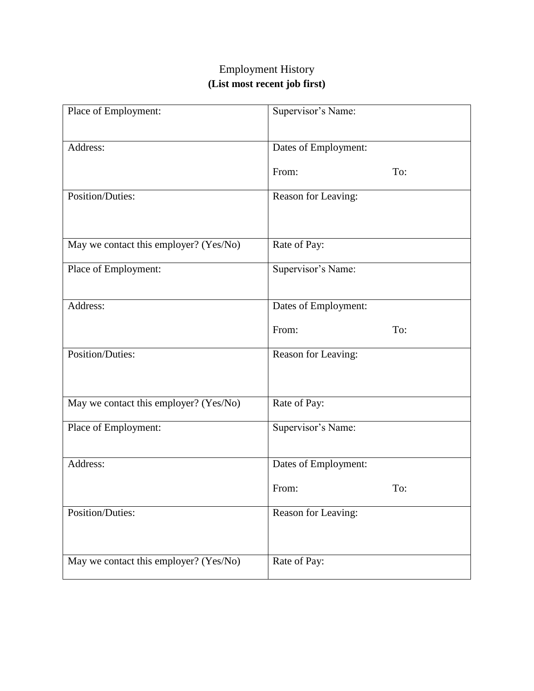# Employment History **(List most recent job first)**

| Place of Employment:                   | Supervisor's Name:   |     |  |
|----------------------------------------|----------------------|-----|--|
| Address:                               | Dates of Employment: |     |  |
|                                        | From:                | To: |  |
| <b>Position/Duties:</b>                | Reason for Leaving:  |     |  |
|                                        |                      |     |  |
| May we contact this employer? (Yes/No) | Rate of Pay:         |     |  |
| Place of Employment:                   | Supervisor's Name:   |     |  |
|                                        |                      |     |  |
| Address:                               | Dates of Employment: |     |  |
|                                        | From:                | To: |  |
| <b>Position/Duties:</b>                | Reason for Leaving:  |     |  |
|                                        |                      |     |  |
| May we contact this employer? (Yes/No) | Rate of Pay:         |     |  |
| Place of Employment:                   | Supervisor's Name:   |     |  |
|                                        |                      |     |  |
| Address:                               | Dates of Employment: |     |  |
|                                        | From:                | To: |  |
| Position/Duties:                       | Reason for Leaving:  |     |  |
|                                        |                      |     |  |
| May we contact this employer? (Yes/No) | Rate of Pay:         |     |  |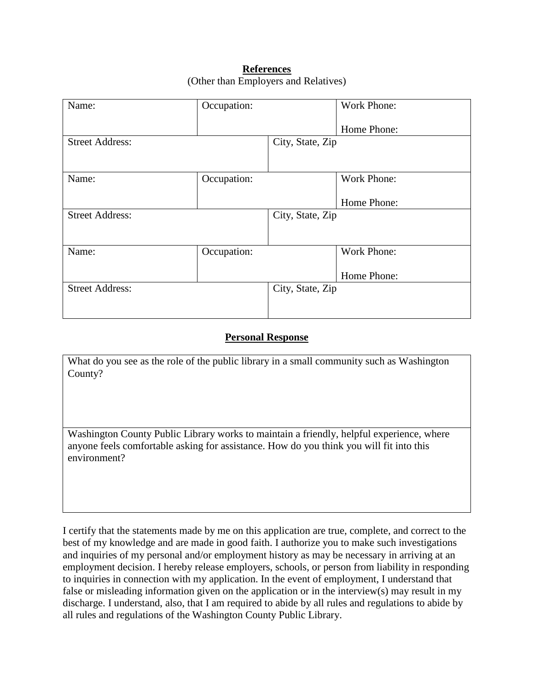#### **References** (Other than Employers and Relatives)

| Name:                  | Occupation: |                  | <b>Work Phone:</b> |
|------------------------|-------------|------------------|--------------------|
|                        |             |                  | Home Phone:        |
| <b>Street Address:</b> |             | City, State, Zip |                    |
|                        |             |                  |                    |
| Name:                  | Occupation: |                  | Work Phone:        |
|                        |             |                  | Home Phone:        |
| <b>Street Address:</b> |             | City, State, Zip |                    |
|                        |             |                  |                    |
| Name:                  | Occupation: |                  | <b>Work Phone:</b> |
|                        |             |                  | Home Phone:        |
| <b>Street Address:</b> |             | City, State, Zip |                    |
|                        |             |                  |                    |

### **Personal Response**

What do you see as the role of the public library in a small community such as Washington County?

Washington County Public Library works to maintain a friendly, helpful experience, where anyone feels comfortable asking for assistance. How do you think you will fit into this environment?

I certify that the statements made by me on this application are true, complete, and correct to the best of my knowledge and are made in good faith. I authorize you to make such investigations and inquiries of my personal and/or employment history as may be necessary in arriving at an employment decision. I hereby release employers, schools, or person from liability in responding to inquiries in connection with my application. In the event of employment, I understand that false or misleading information given on the application or in the interview(s) may result in my discharge. I understand, also, that I am required to abide by all rules and regulations to abide by all rules and regulations of the Washington County Public Library.